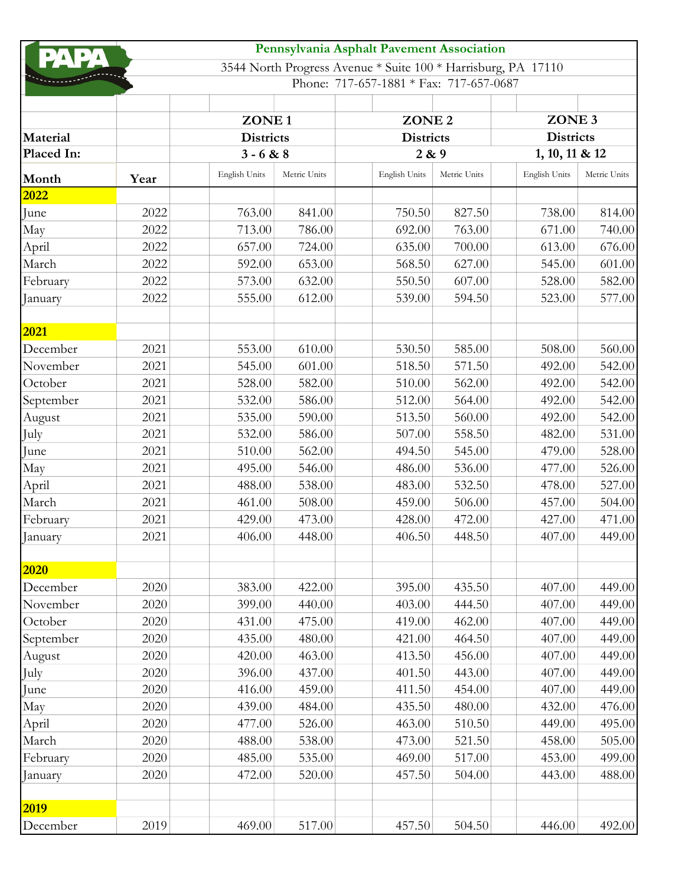|            |      |                                                       |              | Pennsylvania Asphalt Pavement Association                     |              |                                                         |              |
|------------|------|-------------------------------------------------------|--------------|---------------------------------------------------------------|--------------|---------------------------------------------------------|--------------|
|            |      |                                                       |              | 3544 North Progress Avenue * Suite 100 * Harrisburg, PA 17110 |              |                                                         |              |
|            |      |                                                       |              | Phone: 717-657-1881 * Fax: 717-657-0687                       |              |                                                         |              |
|            |      |                                                       |              |                                                               |              |                                                         |              |
|            |      | ZONE <sub>1</sub><br><b>Districts</b><br>$3 - 6 & 88$ |              | ZONE <sub>2</sub><br><b>Districts</b><br>2 & 9                |              | ZONE <sub>3</sub><br><b>Districts</b><br>1, 10, 11 & 12 |              |
| Material   |      |                                                       |              |                                                               |              |                                                         |              |
| Placed In: |      |                                                       |              |                                                               |              |                                                         |              |
| Month      | Year | English Units                                         | Metric Units | English Units                                                 | Metric Units | English Units                                           | Metric Units |
| 2022       |      |                                                       |              |                                                               |              |                                                         |              |
| June       | 2022 | 763.00                                                | 841.00       | 750.50                                                        | 827.50       | 738.00                                                  | 814.00       |
| May        | 2022 | 713.00                                                | 786.00       | 692.00                                                        | 763.00       | 671.00                                                  | 740.00       |
| April      | 2022 | 657.00                                                | 724.00       | 635.00                                                        | 700.00       | 613.00                                                  | 676.00       |
| March      | 2022 | 592.00                                                | 653.00       | 568.50                                                        | 627.00       | 545.00                                                  | 601.00       |
| February   | 2022 | 573.00                                                | 632.00       | 550.50                                                        | 607.00       | 528.00                                                  | 582.00       |
| January    | 2022 | 555.00                                                | 612.00       | 539.00                                                        | 594.50       | 523.00                                                  | 577.00       |
| 2021       |      |                                                       |              |                                                               |              |                                                         |              |
| December   | 2021 | 553.00                                                | 610.00       | 530.50                                                        | 585.00       | 508.00                                                  | 560.00       |
| November   | 2021 | 545.00                                                | 601.00       | 518.50                                                        | 571.50       | 492.00                                                  | 542.00       |
| October    | 2021 | 528.00                                                | 582.00       | 510.00                                                        | 562.00       | 492.00                                                  | 542.00       |
| September  | 2021 | 532.00                                                | 586.00       | 512.00                                                        | 564.00       | 492.00                                                  | 542.00       |
| August     | 2021 | 535.00                                                | 590.00       | 513.50                                                        | 560.00       | 492.00                                                  | 542.00       |
| July       | 2021 | 532.00                                                | 586.00       | 507.00                                                        | 558.50       | 482.00                                                  | 531.00       |
| June       | 2021 | 510.00                                                | 562.00       | 494.50                                                        | 545.00       | 479.00                                                  | 528.00       |
| May        | 2021 | 495.00                                                | 546.00       | 486.00                                                        | 536.00       | 477.00                                                  | 526.00       |
| April      | 2021 | 488.00                                                | 538.00       | 483.00                                                        | 532.50       | 478.00                                                  | 527.00       |
| March      | 2021 | 461.00                                                | 508.00       | 459.00                                                        | 506.00       | 457.00                                                  | 504.00       |
| February   | 2021 | 429.00                                                | 473.00       | 428.00                                                        | 472.00       | 427.00                                                  | 471.00       |
| January    | 2021 | 406.00                                                | 448.00       | 406.50                                                        | 448.50       | 407.00                                                  | 449.00       |
|            |      |                                                       |              |                                                               |              |                                                         |              |
| 2020       |      |                                                       |              |                                                               |              |                                                         |              |
| December   | 2020 | 383.00                                                | 422.00       | 395.00                                                        | 435.50       | 407.00                                                  | 449.00       |
| November   | 2020 | 399.00                                                | 440.00       | 403.00                                                        | 444.50       | 407.00                                                  | 449.00       |
| October    | 2020 | 431.00                                                | 475.00       | 419.00                                                        | 462.00       | 407.00                                                  | 449.00       |
| September  | 2020 | 435.00                                                | 480.00       | 421.00                                                        | 464.50       | 407.00                                                  | 449.00       |
| August     | 2020 | 420.00                                                | 463.00       | 413.50                                                        | 456.00       | 407.00                                                  | 449.00       |
| July       | 2020 | 396.00                                                | 437.00       | 401.50                                                        | 443.00       | 407.00                                                  | 449.00       |
| June       | 2020 | 416.00                                                | 459.00       | 411.50                                                        | 454.00       | 407.00                                                  | 449.00       |
| May        | 2020 | 439.00                                                | 484.00       | 435.50                                                        | 480.00       | 432.00                                                  | 476.00       |
| April      | 2020 | 477.00                                                | 526.00       | 463.00                                                        | 510.50       | 449.00                                                  | 495.00       |
| March      | 2020 | 488.00                                                | 538.00       | 473.00                                                        | 521.50       | 458.00                                                  | 505.00       |
| February   | 2020 | 485.00                                                | 535.00       | 469.00                                                        | 517.00       | 453.00                                                  | 499.00       |
| January    | 2020 | 472.00                                                | 520.00       | 457.50                                                        | 504.00       | 443.00                                                  | 488.00       |
| 2019       |      |                                                       |              |                                                               |              |                                                         |              |
| December   | 2019 | 469.00                                                | 517.00       | 457.50                                                        | 504.50       | 446.00                                                  | 492.00       |